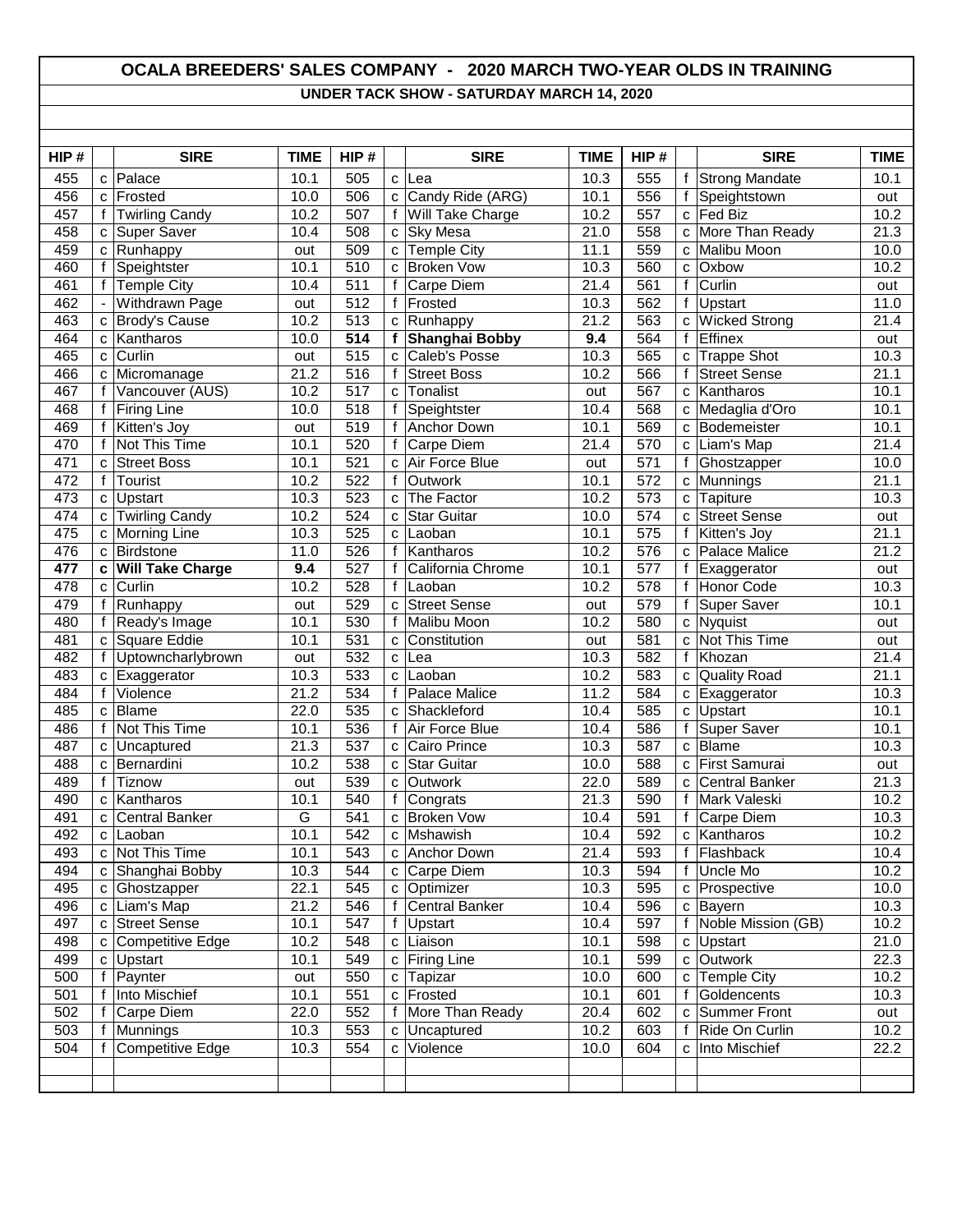## **OCALA BREEDERS' SALES COMPANY - 2020 MARCH TWO-YEAR OLDS IN TRAINING UNDER TACK SHOW - SATURDAY MARCH 14, 2020**

| HIP#       |              | <b>SIRE</b>                       | <b>TIME</b> | HIP#             |                    | <b>SIRE</b>           | <b>TIME</b>       | HIP#       |                   | <b>SIRE</b>             | <b>TIME</b>       |
|------------|--------------|-----------------------------------|-------------|------------------|--------------------|-----------------------|-------------------|------------|-------------------|-------------------------|-------------------|
| 455        | C            | Palace                            | 10.1        | 505              | C                  | Lea                   | 10.3              | 555        | f                 | <b>Strong Mandate</b>   | 10.1              |
| 456        | C            | Frosted                           | 10.0        | 506              | C                  | Candy Ride (ARG)      | 10.1              | 556        |                   | Speightstown            | out               |
| 457        | f            | <b>Twirling Candy</b>             | 10.2        | 507              | f                  | Will Take Charge      | 10.2              | 557        | C                 | Fed Biz                 | 10.2              |
| 458        | C            | <b>Super Saver</b>                | 10.4        | 508              | C                  | <b>Sky Mesa</b>       | 21.0              | 558        | C                 | More Than Ready         | $\overline{21.3}$ |
| 459        | C            | Runhappy                          | out         | 509              |                    | c Temple City         | 11.1              | 559        | C                 | Malibu Moon             | 10.0              |
| 460        | f            | Speightster                       | 10.1        | $\overline{510}$ | $\mathbf{C}$       | <b>Broken Vow</b>     | 10.3              | 560        | $\mathbf{C}$      | Oxbow                   | 10.2              |
| 461        | f            | <b>Temple City</b>                | 10.4        | 511              | f                  | Carpe Diem            | 21.4              | 561        | f                 | Curlin                  | out               |
| 462        |              | Withdrawn Page                    | out         | 512              |                    | f Frosted             | 10.3              | 562        | $\mathbf f$       | Upstart                 | 11.0              |
| 463        | $\mathtt{C}$ | Brody's Cause                     | 10.2        | 513              |                    | c Runhappy            | 21.2              | 563        | C.                | <b>Wicked Strong</b>    | 21.4              |
| 464        | C            | Kantharos                         | 10.0        | 514              |                    | f Shanghai Bobby      | 9.4               | 564        | $\mathbf{f}$      | Effinex                 | out               |
| 465        | C            | Curlin                            | out         | $\overline{515}$ | C                  | Caleb's Posse         | 10.3              | 565        | C                 | <b>Trappe Shot</b>      | 10.3              |
| 466        | C            | Micromanage                       | 21.2        | 516              | f                  | <b>Street Boss</b>    | 10.2              | 566        |                   | <b>Street Sense</b>     | 21.1              |
| 467        | f            | Vancouver (AUS)                   | 10.2        | 517              | C                  | Tonalist              | out               | 567        | $\mathbf{C}$      | Kantharos               | 10.1              |
| 468        | f            | <b>Firing Line</b>                | 10.0        | 518              | $\mathbf{f}$       | Speightster           | 10.4              | 568        | C                 | Medaglia d'Oro          | 10.1              |
| 469        | f            | Kitten's Joy                      | out         | 519              | f                  | Anchor Down           | 10.1              | 569        | C                 | Bodemeister             | 10.1              |
| 470        | f            | <b>Not This Time</b>              | 10.1        | 520              | f                  | Carpe Diem            | 21.4              | 570        | C.                | Liam's Map              | 21.4              |
| 471        | C            | <b>Street Boss</b>                | 10.1        | 521              | C                  | Air Force Blue        | out               | 571        | f                 | Ghostzapper             | 10.0              |
| 472        | f            | Tourist                           | 10.2        | 522              | f                  | Outwork               | 10.1              | 572        | C                 | Munnings                | 21.1              |
| 473        | C            | <b>Upstart</b>                    | 10.3        | 523              | C                  | The Factor            | 10.2              | 573        | C                 | Tapiture                | 10.3              |
| 474        | C            | <b>Twirling Candy</b>             | 10.2        | 524              | C                  | Star Guitar           | 10.0              | 574        | $\mathbf{C}$      | <b>Street Sense</b>     | out               |
| 475        | C            | Morning Line                      | 10.3        | 525              | C                  | Laoban                | 10.1              | 575        | $\mathbf{f}$      | Kitten's Joy            | 21.1              |
| 476        | C            | <b>Birdstone</b>                  | 11.0        | 526              | f                  | Kantharos             | 10.2              | 576        | C                 | <b>Palace Malice</b>    | 21.2              |
| 477        | C            | <b>Will Take Charge</b>           | 9.4         | 527              | f                  | California Chrome     | 10.1              | 577        |                   | Exaggerator             | out               |
| 478        | C            | Curlin                            | 10.2        | 528              | f                  | Laoban                | 10.2              | 578        | f                 | Honor Code              | 10.3              |
| 479        | f            | Runhappy                          | out         | 529              | $\mathbf{C}$       | <b>Street Sense</b>   | out               | 579        | f                 | Super Saver             | 10.1              |
| 480        | f            | Ready's Image                     | 10.1        | 530              | f                  | Malibu Moon           | 10.2              | 580        | $\mathbf{C}$      | Nyquist                 | out               |
| 481<br>482 | C<br>f       | Square Eddie<br>Uptowncharlybrown | 10.1        | 531<br>532       | C                  | Constitution          | out<br>10.3       | 581<br>582 | C<br>$\mathsf{f}$ | Not This Time<br>Khozan | out<br>21.4       |
| 483        | $\mathbf{C}$ |                                   | out<br>10.3 | 533              | $\mathbf{C}$<br>C. | Lea<br>Laoban         | 10.2              | 583        |                   | <b>Quality Road</b>     | 21.1              |
| 484        | f            | Exaggerator<br>Violence           | 21.2        | 534              | $\mathbf{f}$       | <b>Palace Malice</b>  | 11.2              | 584        | C<br>C            | Exaggerator             | 10.3              |
| 485        | C            | <b>Blame</b>                      | 22.0        | $\frac{1}{535}$  | C                  | Shackleford           | 10.4              | 585        | C                 | Upstart                 | 10.1              |
| 486        |              | Not This Time                     | 10.1        | 536              | $\mathbf{f}$       | Air Force Blue        | 10.4              | 586        | f                 | <b>Super Saver</b>      | 10.1              |
| 487        | C            | Uncaptured                        | 21.3        | 537              | C                  | Cairo Prince          | 10.3              | 587        | C                 | <b>Blame</b>            | 10.3              |
| 488        | C            | Bernardini                        | 10.2        | 538              | C                  | Star Guitar           | 10.0              | 588        | C                 | First Samurai           | out               |
| 489        | f            | <b>Tiznow</b>                     | out         | 539              | C                  | <b>Outwork</b>        | 22.0              | 589        | C                 | Central Banker          | 21.3              |
| 490        | C            | Kantharos                         | 10.1        | 540              | f                  | Congrats              | $\overline{21.3}$ | 590        | f                 | Mark Valeski            | 10.2              |
| 491        | C            | Central Banker                    | G           | 541              |                    | c Broken Vow          | 10.4              | 591        | f                 | Carpe Diem              | 10.3              |
| 492        |              | c Laoban                          | 10.1        | 542              |                    | c Mshawish            | $\overline{10.4}$ | 592        |                   | c Kantharos             | 10.2              |
| 493        |              | c Not This Time                   | 10.1        | 543              |                    | c Anchor Down         | 21.4              | 593        |                   | f Flashback             | 10.4              |
| 494        |              | c Shanghai Bobby                  | 10.3        | 544              |                    | c Carpe Diem          | 10.3              | 594        | f                 | Uncle Mo                | 10.2              |
| 495        | C.           | Ghostzapper                       | 22.1        | 545              |                    | c Optimizer           | 10.3              | 595        |                   | c Prospective           | 10.0              |
| 496        | C            | Liam's Map                        | 21.2        | 546              | $\mathbf{f}$       | <b>Central Banker</b> | 10.4              | 596        | $\mathbf{C}$      | Bayern                  | 10.3              |
| 497        | C            | <b>Street Sense</b>               | 10.1        | 547              | f                  | <b>Upstart</b>        | 10.4              | 597        | f                 | Noble Mission (GB)      | 10.2              |
| 498        | C            | <b>Competitive Edge</b>           | 10.2        | 548              |                    | c Liaison             | 10.1              | 598        | C                 | Upstart                 | 21.0              |
| 499        |              | c Upstart                         | 10.1        | 549              |                    | c Firing Line         | 10.1              | 599        | C                 | Outwork                 | 22.3              |
| 500        | f            | Paynter                           | out         | 550              |                    | c Tapizar             | 10.0              | 600        | $\mathbf{C}$      | Temple City             | 10.2              |
| 501        | f            | Into Mischief                     | 10.1        | 551              | $\mathtt{C}$       | Frosted               | 10.1              | 601        | $\mathbf{f}$      | Goldencents             | 10.3              |
| 502        | f            | Carpe Diem                        | 22.0        | 552              |                    | f   More Than Ready   | 20.4              | 602        | C                 | Summer Front            | out               |
| 503        |              | f Munnings                        | 10.3        | 553              | $\mathbf{C}$       | Uncaptured            | 10.2              | 603        | f                 | Ride On Curlin          | 10.2              |
| 504        |              | Competitive Edge                  | 10.3        | 554              | $\mathbf{C}$       | Violence              | 10.0              | 604        | $\mathbf{C}$      | Into Mischief           | 22.2              |
|            |              |                                   |             |                  |                    |                       |                   |            |                   |                         |                   |
|            |              |                                   |             |                  |                    |                       |                   |            |                   |                         |                   |